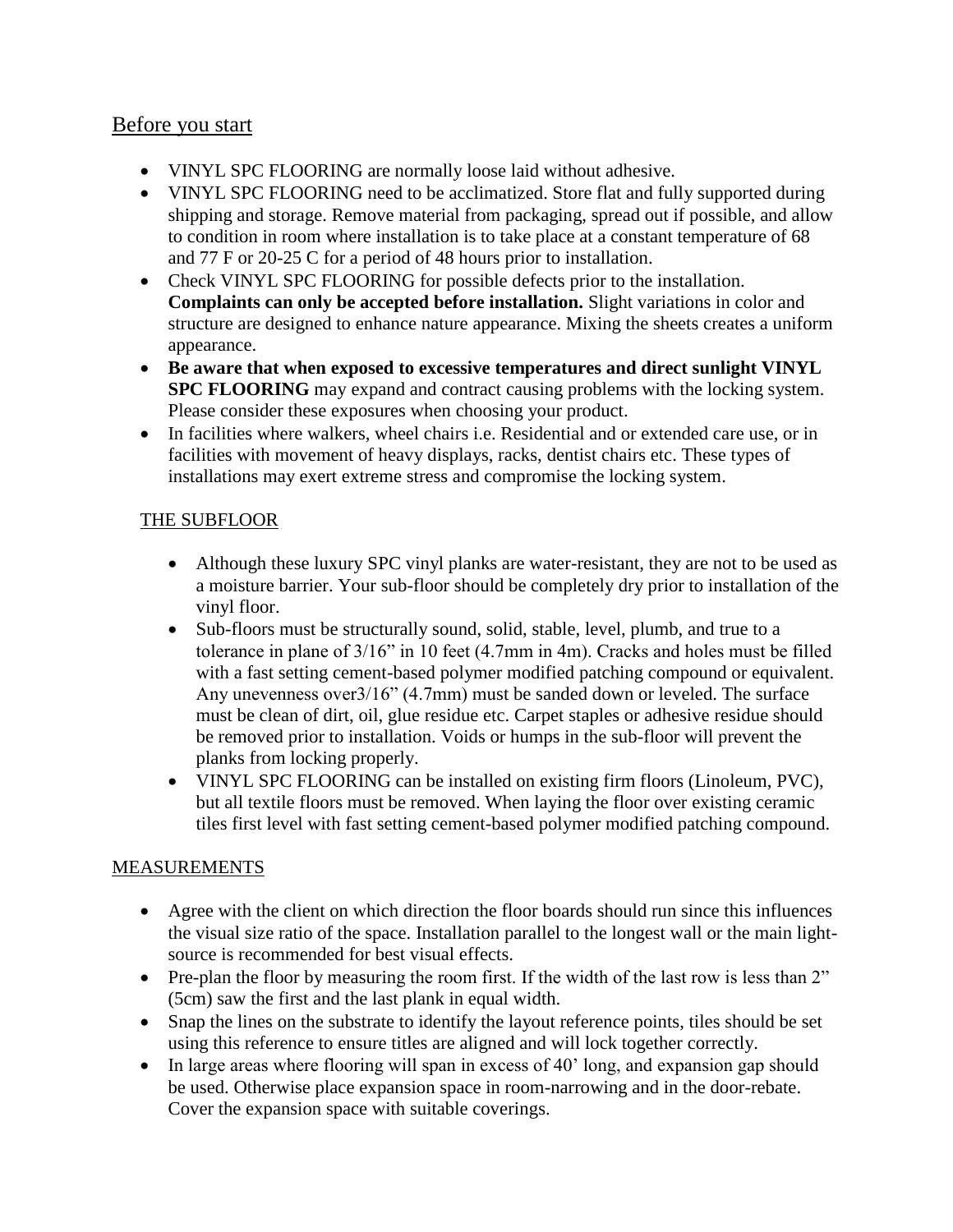# Before you start

- VINYL SPC FLOORING are normally loose laid without adhesive.
- VINYL SPC FLOORING need to be acclimatized. Store flat and fully supported during shipping and storage. Remove material from packaging, spread out if possible, and allow to condition in room where installation is to take place at a constant temperature of 68 and 77 F or 20-25 C for a period of 48 hours prior to installation.
- Check VINYL SPC FLOORING for possible defects prior to the installation. **Complaints can only be accepted before installation.** Slight variations in color and structure are designed to enhance nature appearance. Mixing the sheets creates a uniform appearance.
- **Be aware that when exposed to excessive temperatures and direct sunlight VINYL SPC FLOORING** may expand and contract causing problems with the locking system. Please consider these exposures when choosing your product.
- In facilities where walkers, wheel chairs i.e. Residential and or extended care use, or in facilities with movement of heavy displays, racks, dentist chairs etc. These types of installations may exert extreme stress and compromise the locking system.

# THE SUBFLOOR

- Although these luxury SPC vinyl planks are water-resistant, they are not to be used as a moisture barrier. Your sub-floor should be completely dry prior to installation of the vinyl floor.
- Sub-floors must be structurally sound, solid, stable, level, plumb, and true to a tolerance in plane of 3/16" in 10 feet (4.7mm in 4m). Cracks and holes must be filled with a fast setting cement-based polymer modified patching compound or equivalent. Any unevenness over3/16" (4.7mm) must be sanded down or leveled. The surface must be clean of dirt, oil, glue residue etc. Carpet staples or adhesive residue should be removed prior to installation. Voids or humps in the sub-floor will prevent the planks from locking properly.
- VINYL SPC FLOORING can be installed on existing firm floors (Linoleum, PVC), but all textile floors must be removed. When laying the floor over existing ceramic tiles first level with fast setting cement-based polymer modified patching compound.

# MEASUREMENTS

- Agree with the client on which direction the floor boards should run since this influences the visual size ratio of the space. Installation parallel to the longest wall or the main lightsource is recommended for best visual effects.
- Pre-plan the floor by measuring the room first. If the width of the last row is less than 2" (5cm) saw the first and the last plank in equal width.
- Snap the lines on the substrate to identify the layout reference points, tiles should be set using this reference to ensure titles are aligned and will lock together correctly.
- In large areas where flooring will span in excess of 40' long, and expansion gap should be used. Otherwise place expansion space in room-narrowing and in the door-rebate. Cover the expansion space with suitable coverings.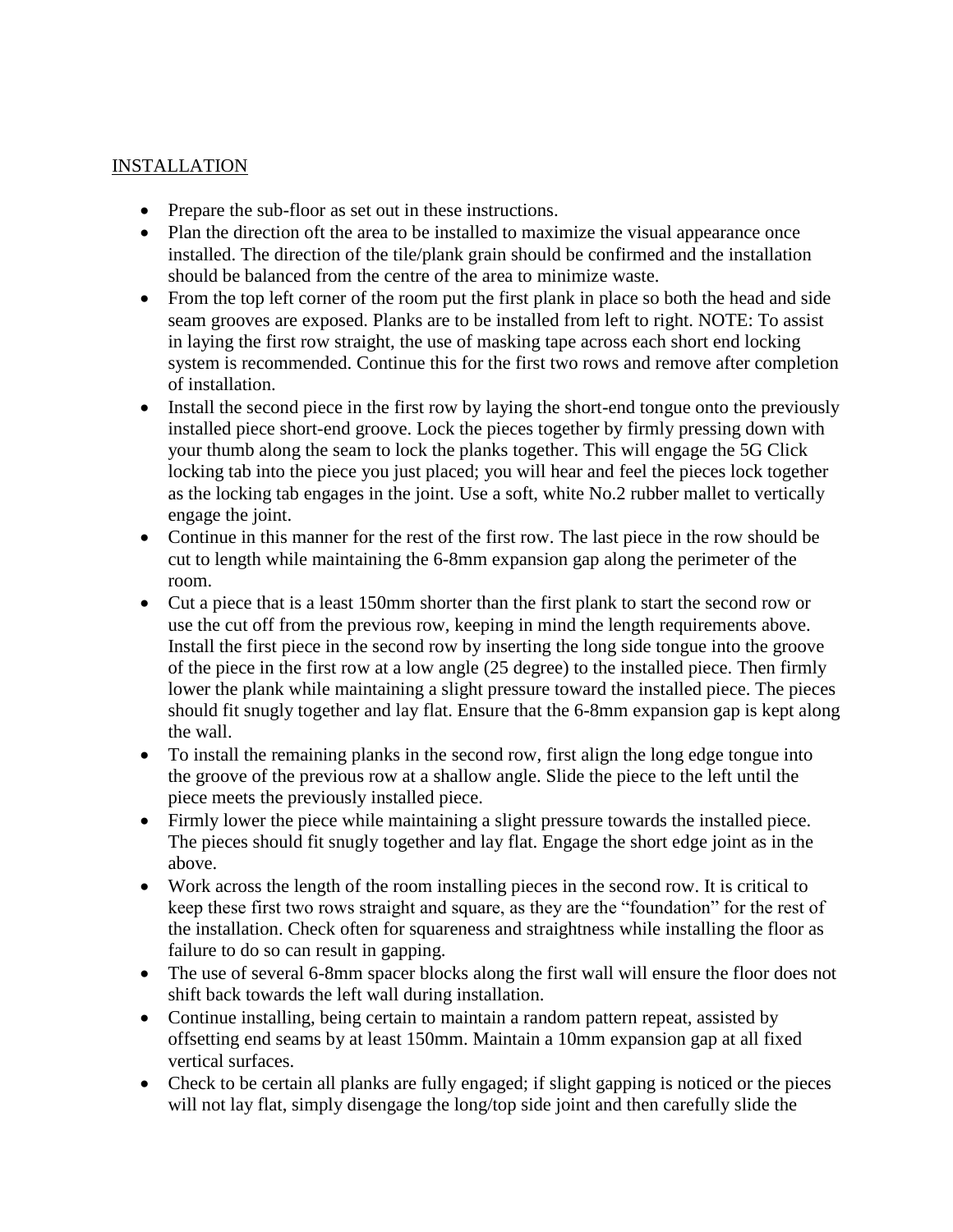# INSTALLATION

- Prepare the sub-floor as set out in these instructions.
- Plan the direction oft the area to be installed to maximize the visual appearance once installed. The direction of the tile/plank grain should be confirmed and the installation should be balanced from the centre of the area to minimize waste.
- From the top left corner of the room put the first plank in place so both the head and side seam grooves are exposed. Planks are to be installed from left to right. NOTE: To assist in laying the first row straight, the use of masking tape across each short end locking system is recommended. Continue this for the first two rows and remove after completion of installation.
- Install the second piece in the first row by laying the short-end tongue onto the previously installed piece short-end groove. Lock the pieces together by firmly pressing down with your thumb along the seam to lock the planks together. This will engage the 5G Click locking tab into the piece you just placed; you will hear and feel the pieces lock together as the locking tab engages in the joint. Use a soft, white No.2 rubber mallet to vertically engage the joint.
- Continue in this manner for the rest of the first row. The last piece in the row should be cut to length while maintaining the 6-8mm expansion gap along the perimeter of the room.
- Cut a piece that is a least 150mm shorter than the first plank to start the second row or use the cut off from the previous row, keeping in mind the length requirements above. Install the first piece in the second row by inserting the long side tongue into the groove of the piece in the first row at a low angle (25 degree) to the installed piece. Then firmly lower the plank while maintaining a slight pressure toward the installed piece. The pieces should fit snugly together and lay flat. Ensure that the 6-8mm expansion gap is kept along the wall.
- To install the remaining planks in the second row, first align the long edge tongue into the groove of the previous row at a shallow angle. Slide the piece to the left until the piece meets the previously installed piece.
- Firmly lower the piece while maintaining a slight pressure towards the installed piece. The pieces should fit snugly together and lay flat. Engage the short edge joint as in the above.
- Work across the length of the room installing pieces in the second row. It is critical to keep these first two rows straight and square, as they are the "foundation" for the rest of the installation. Check often for squareness and straightness while installing the floor as failure to do so can result in gapping.
- The use of several 6-8mm spacer blocks along the first wall will ensure the floor does not shift back towards the left wall during installation.
- Continue installing, being certain to maintain a random pattern repeat, assisted by offsetting end seams by at least 150mm. Maintain a 10mm expansion gap at all fixed vertical surfaces.
- Check to be certain all planks are fully engaged; if slight gapping is noticed or the pieces will not lay flat, simply disengage the long/top side joint and then carefully slide the